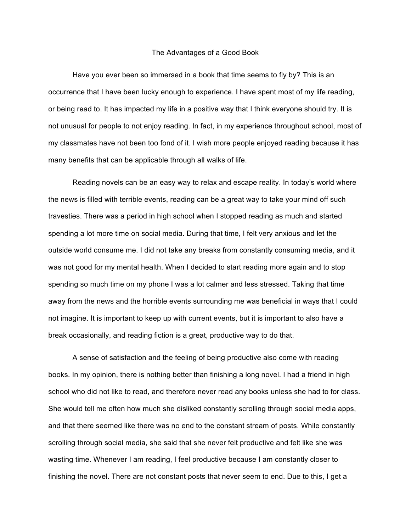## The Advantages of a Good Book

Have you ever been so immersed in a book that time seems to fly by? This is an occurrence that I have been lucky enough to experience. I have spent most of my life reading, or being read to. It has impacted my life in a positive way that I think everyone should try. It is not unusual for people to not enjoy reading. In fact, in my experience throughout school, most of my classmates have not been too fond of it. I wish more people enjoyed reading because it has many benefits that can be applicable through all walks of life.

Reading novels can be an easy way to relax and escape reality. In today's world where the news is filled with terrible events, reading can be a great way to take your mind off such travesties. There was a period in high school when I stopped reading as much and started spending a lot more time on social media. During that time, I felt very anxious and let the outside world consume me. I did not take any breaks from constantly consuming media, and it was not good for my mental health. When I decided to start reading more again and to stop spending so much time on my phone I was a lot calmer and less stressed. Taking that time away from the news and the horrible events surrounding me was beneficial in ways that I could not imagine. It is important to keep up with current events, but it is important to also have a break occasionally, and reading fiction is a great, productive way to do that.

A sense of satisfaction and the feeling of being productive also come with reading books. In my opinion, there is nothing better than finishing a long novel. I had a friend in high school who did not like to read, and therefore never read any books unless she had to for class. She would tell me often how much she disliked constantly scrolling through social media apps, and that there seemed like there was no end to the constant stream of posts. While constantly scrolling through social media, she said that she never felt productive and felt like she was wasting time. Whenever I am reading, I feel productive because I am constantly closer to finishing the novel. There are not constant posts that never seem to end. Due to this, I get a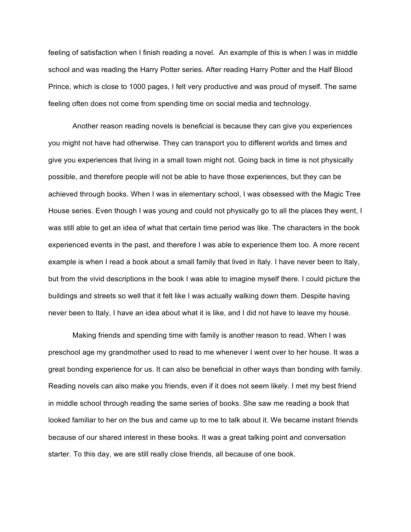feeling of satisfaction when I finish reading a novel. An example of this is when I was in middle school and was reading the Harry Potter series. After reading Harry Potter and the Half Blood Prince, which is close to 1000 pages, I felt very productive and was proud of myself. The same feeling often does not come from spending time on social media and technology.

Another reason reading novels is beneficial is because they can give you experiences you might not have had otherwise. They can transport you to different worlds and times and give you experiences that living in a small town might not. Going back in time is not physically possible, and therefore people will not be able to have those experiences, but they can be achieved through books. When I was in elementary school, I was obsessed with the Magic Tree House series. Even though I was young and could not physically go to all the places they went, I was still able to get an idea of what that certain time period was like. The characters in the book experienced events in the past, and therefore I was able to experience them too. A more recent example is when I read a book about a small family that lived in Italy. I have never been to Italy, but from the vivid descriptions in the book I was able to imagine myself there. I could picture the buildings and streets so well that it felt like I was actually walking down them. Despite having never been to Italy, I have an idea about what it is like, and I did not have to leave my house.

Making friends and spending time with family is another reason to read. When I was preschool age my grandmother used to read to me whenever I went over to her house. It was a great bonding experience for us. It can also be beneficial in other ways than bonding with family. Reading novels can also make you friends, even if it does not seem likely. I met my best friend in middle school through reading the same series of books. She saw me reading a book that looked familiar to her on the bus and came up to me to talk about it. We became instant friends because of our shared interest in these books. It was a great talking point and conversation starter. To this day, we are still really close friends, all because of one book.